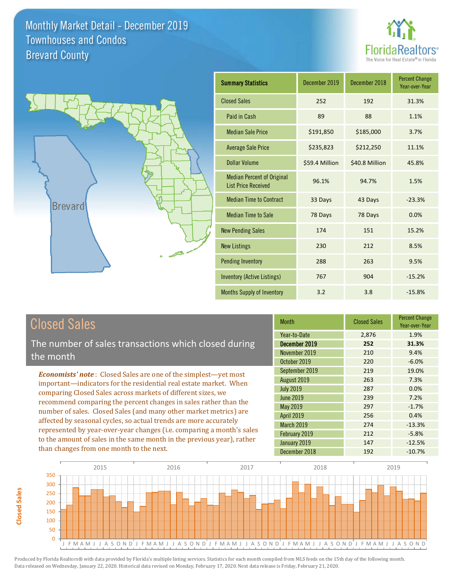



| <b>Summary Statistics</b>                                       | December 2019  | December 2018  | <b>Percent Change</b><br>Year-over-Year |
|-----------------------------------------------------------------|----------------|----------------|-----------------------------------------|
| <b>Closed Sales</b>                                             | 252            | 192            | 31.3%                                   |
| Paid in Cash                                                    | 89             | 88             | 1.1%                                    |
| <b>Median Sale Price</b>                                        | \$191,850      | \$185,000      | 3.7%                                    |
| <b>Average Sale Price</b>                                       | \$235,823      | \$212,250      | 11.1%                                   |
| Dollar Volume                                                   | \$59.4 Million | \$40.8 Million | 45.8%                                   |
| <b>Median Percent of Original</b><br><b>List Price Received</b> | 96.1%          | 94.7%          | 1.5%                                    |
| <b>Median Time to Contract</b>                                  | 33 Days        | 43 Days        | $-23.3%$                                |
| <b>Median Time to Sale</b>                                      | 78 Days        | 78 Days        | 0.0%                                    |
| <b>New Pending Sales</b>                                        | 174            | 151            | 15.2%                                   |
| <b>New Listings</b>                                             | 230            | 212            | 8.5%                                    |
| <b>Pending Inventory</b>                                        | 288            | 263            | 9.5%                                    |
| <b>Inventory (Active Listings)</b>                              | 767            | 904            | $-15.2%$                                |
| Months Supply of Inventory                                      | 3.2            | 3.8            | $-15.8%$                                |

## Closed Sales

The number of sales transactions which closed during the month

*Economists' note* : Closed Sales are one of the simplest—yet most important—indicators for the residential real estate market. When comparing Closed Sales across markets of different sizes, we recommend comparing the percent changes in sales rather than the number of sales. Closed Sales (and many other market metrics) are affected by seasonal cycles, so actual trends are more accurately represented by year-over-year changes (i.e. comparing a month's sales to the amount of sales in the same month in the previous year), rather than changes from one month to the next.

| <b>Month</b>      | <b>Closed Sales</b> | <b>Percent Change</b><br>Year-over-Year |
|-------------------|---------------------|-----------------------------------------|
| Year-to-Date      | 2,876               | 1.9%                                    |
| December 2019     | 252                 | 31.3%                                   |
| November 2019     | 210                 | 9.4%                                    |
| October 2019      | 220                 | $-6.0%$                                 |
| September 2019    | 219                 | 19.0%                                   |
| August 2019       | 263                 | 7.3%                                    |
| <b>July 2019</b>  | 287                 | 0.0%                                    |
| June 2019         | 239                 | 7.2%                                    |
| <b>May 2019</b>   | 297                 | $-1.7%$                                 |
| <b>April 2019</b> | 256                 | 0.4%                                    |
| March 2019        | 274                 | $-13.3%$                                |
| February 2019     | 212                 | $-5.8%$                                 |
| January 2019      | 147                 | $-12.5%$                                |
| December 2018     | 192                 | $-10.7%$                                |

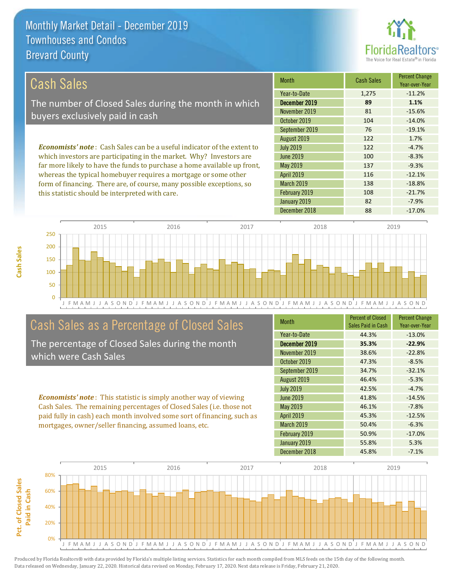this statistic should be interpreted with care.



108 -21.7%

| Cash Sales                                                                     | <b>Month</b>      | <b>Cash Sales</b> | <b>Percent Change</b><br>Year-over-Year |
|--------------------------------------------------------------------------------|-------------------|-------------------|-----------------------------------------|
|                                                                                | Year-to-Date      | 1,275             | $-11.2%$                                |
| The number of Closed Sales during the month in which                           | December 2019     | 89                | 1.1%                                    |
| buyers exclusively paid in cash                                                | November 2019     | 81                | $-15.6%$                                |
|                                                                                | October 2019      | 104               | $-14.0%$                                |
|                                                                                | September 2019    | 76                | $-19.1%$                                |
|                                                                                | August 2019       | 122               | 1.7%                                    |
| <b>Economists' note:</b> Cash Sales can be a useful indicator of the extent to | <b>July 2019</b>  | 122               | $-4.7%$                                 |
| which investors are participating in the market. Why? Investors are            | June 2019         | 100               | $-8.3%$                                 |
| far more likely to have the funds to purchase a home available up front,       | May 2019          | 137               | $-9.3%$                                 |
| whereas the typical homebuyer requires a mortgage or some other                | <b>April 2019</b> | 116               | $-12.1%$                                |
| form of financing. There are, of course, many possible exceptions, so          | <b>March 2019</b> | 138               | $-18.8%$                                |

J F M A M J J A S O N D J F M A M J J A S O N D J F M A M J J A S O N D J F M A M J J A S O N D J F M A M J J A S O N D 0 50 100 150 200 250 2015 2016 2017 2018 2019

## Cash Sales as a Percentage of Closed Sales

The percentage of Closed Sales during the month which were Cash Sales

*Economists' note* : This statistic is simply another way of viewing Cash Sales. The remaining percentages of Closed Sales (i.e. those not paid fully in cash) each month involved some sort of financing, such as mortgages, owner/seller financing, assumed loans, etc.

| <b>Month</b>      | <b>Percent of Closed</b><br>Sales Paid in Cash | <b>Percent Change</b><br>Year-over-Year |
|-------------------|------------------------------------------------|-----------------------------------------|
| Year-to-Date      | 44.3%                                          | $-13.0%$                                |
| December 2019     | 35.3%                                          | $-22.9%$                                |
| November 2019     | 38.6%                                          | $-22.8%$                                |
| October 2019      | 47.3%                                          | $-8.5%$                                 |
| September 2019    | 34.7%                                          | $-32.1%$                                |
| August 2019       | 46.4%                                          | $-5.3%$                                 |
| <b>July 2019</b>  | 42.5%                                          | $-4.7%$                                 |
| June 2019         | 41.8%                                          | $-14.5%$                                |
| May 2019          | 46.1%                                          | $-7.8%$                                 |
| <b>April 2019</b> | 45.3%                                          | $-12.5%$                                |
| <b>March 2019</b> | 50.4%                                          | $-6.3%$                                 |
| February 2019     | 50.9%                                          | $-17.0%$                                |
| January 2019      | 55.8%                                          | 5.3%                                    |
| December 2018     | 45.8%                                          | $-7.1%$                                 |

December 2018 88 -17.0%

January 2019 **82** -7.9%

February 2019

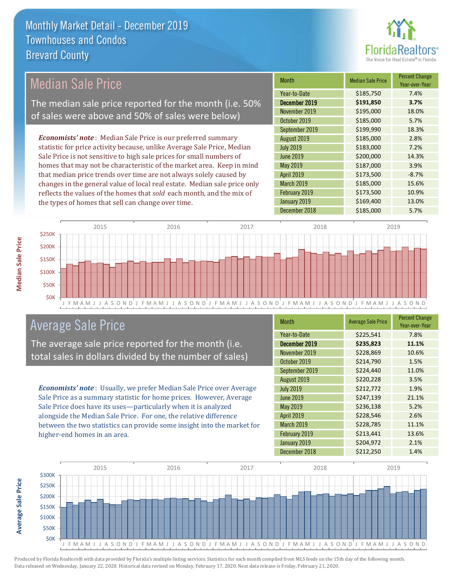

## Median Sale Price

The median sale price reported for the month (i.e. 50% of sales were above and 50% of sales were below)

*Economists' note* : Median Sale Price is our preferred summary statistic for price activity because, unlike Average Sale Price, Median Sale Price is not sensitive to high sale prices for small numbers of homes that may not be characteristic of the market area. Keep in mind that median price trends over time are not always solely caused by changes in the general value of local real estate. Median sale price only reflects the values of the homes that *sold* each month, and the mix of the types of homes that sell can change over time.

| <b>Month</b>      | <b>Median Sale Price</b> | <b>Percent Change</b><br>Year-over-Year |
|-------------------|--------------------------|-----------------------------------------|
| Year-to-Date      | \$185,750                | 7.4%                                    |
| December 2019     | \$191,850                | 3.7%                                    |
| November 2019     | \$195,000                | 18.0%                                   |
| October 2019      | \$185,000                | 5.7%                                    |
| September 2019    | \$199,990                | 18.3%                                   |
| August 2019       | \$185,000                | 2.8%                                    |
| <b>July 2019</b>  | \$183,000                | 7.2%                                    |
| <b>June 2019</b>  | \$200,000                | 14.3%                                   |
| May 2019          | \$187,000                | 3.9%                                    |
| <b>April 2019</b> | \$173,500                | $-8.7%$                                 |
| March 2019        | \$185,000                | 15.6%                                   |
| February 2019     | \$173,500                | 10.9%                                   |
| January 2019      | \$169,400                | 13.0%                                   |
| December 2018     | \$185,000                | 5.7%                                    |



## Average Sale Price

The average sale price reported for the month (i.e. total sales in dollars divided by the number of sales)

*Economists' note* : Usually, we prefer Median Sale Price over Average Sale Price as a summary statistic for home prices. However, Average Sale Price does have its uses—particularly when it is analyzed alongside the Median Sale Price. For one, the relative difference between the two statistics can provide some insight into the market for higher-end homes in an area.

| <b>Month</b>      | <b>Average Sale Price</b> | <b>Percent Change</b><br>Year-over-Year |
|-------------------|---------------------------|-----------------------------------------|
| Year-to-Date      | \$225,541                 | 7.8%                                    |
| December 2019     | \$235,823                 | 11.1%                                   |
| November 2019     | \$228,869                 | 10.6%                                   |
| October 2019      | \$214,790                 | 1.5%                                    |
| September 2019    | \$224,440                 | 11.0%                                   |
| August 2019       | \$220,228                 | 3.5%                                    |
| <b>July 2019</b>  | \$212,772                 | 1.9%                                    |
| <b>June 2019</b>  | \$247,139                 | 21.1%                                   |
| May 2019          | \$236,138                 | 5.2%                                    |
| <b>April 2019</b> | \$228,546                 | 2.6%                                    |
| <b>March 2019</b> | \$228,785                 | 11.1%                                   |
| February 2019     | \$213,441                 | 13.6%                                   |
| January 2019      | \$204,972                 | 2.1%                                    |
| December 2018     | \$212,250                 | 1.4%                                    |



Produced by Florida Realtors® with data provided by Florida's multiple listing services. Statistics for each month compiled from MLS feeds on the 15th day of the following month. Data released on Wednesday, January 22, 2020. Historical data revised on Monday, February 17, 2020. Next data release is Friday, February 21, 2020.

**Average Sale Price**

**Average Sale Price**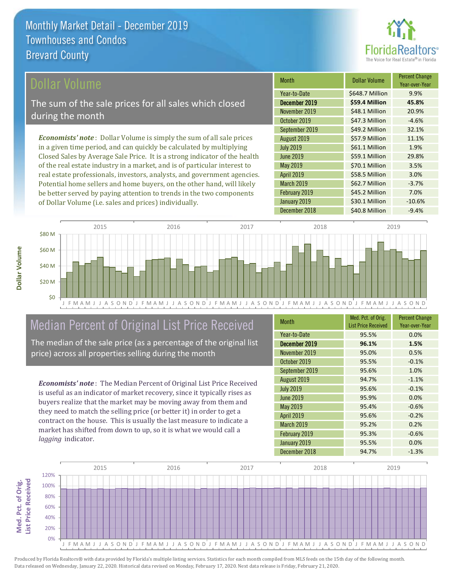

## ollar Volume

The sum of the sale prices for all sales which closed during the month

*Economists' note* : Dollar Volume is simply the sum of all sale prices in a given time period, and can quickly be calculated by multiplying Closed Sales by Average Sale Price. It is a strong indicator of the health of the real estate industry in a market, and is of particular interest to real estate professionals, investors, analysts, and government agencies. Potential home sellers and home buyers, on the other hand, will likely be better served by paying attention to trends in the two components of Dollar Volume (i.e. sales and prices) individually.

| <b>Month</b>      | Dollar Volume   | <b>Percent Change</b><br>Year-over-Year |
|-------------------|-----------------|-----------------------------------------|
| Year-to-Date      | \$648.7 Million | 9.9%                                    |
| December 2019     | \$59.4 Million  | 45.8%                                   |
| November 2019     | \$48.1 Million  | 20.9%                                   |
| October 2019      | \$47.3 Million  | $-4.6%$                                 |
| September 2019    | \$49.2 Million  | 32.1%                                   |
| August 2019       | \$57.9 Million  | 11.1%                                   |
| <b>July 2019</b>  | \$61.1 Million  | 1.9%                                    |
| <b>June 2019</b>  | \$59.1 Million  | 29.8%                                   |
| May 2019          | \$70.1 Million  | 3.5%                                    |
| <b>April 2019</b> | \$58.5 Million  | 3.0%                                    |
| March 2019        | \$62.7 Million  | $-3.7%$                                 |
| February 2019     | \$45.2 Million  | 7.0%                                    |
| January 2019      | \$30.1 Million  | $-10.6%$                                |
| December 2018     | \$40.8 Million  | $-9.4%$                                 |



## Median Percent of Original List Price Received

The median of the sale price (as a percentage of the original list price) across all properties selling during the month

*Economists' note* : The Median Percent of Original List Price Received is useful as an indicator of market recovery, since it typically rises as buyers realize that the market may be moving away from them and they need to match the selling price (or better it) in order to get a contract on the house. This is usually the last measure to indicate a market has shifted from down to up, so it is what we would call a *lagging* indicator.

| <b>Month</b>     | Med. Pct. of Orig.<br><b>List Price Received</b> | <b>Percent Change</b><br>Year-over-Year |
|------------------|--------------------------------------------------|-----------------------------------------|
| Year-to-Date     | 95.5%                                            | 0.0%                                    |
| December 2019    | 96.1%                                            | 1.5%                                    |
| November 2019    | 95.0%                                            | 0.5%                                    |
| October 2019     | 95.5%                                            | $-0.1%$                                 |
| September 2019   | 95.6%                                            | 1.0%                                    |
| August 2019      | 94.7%                                            | $-1.1%$                                 |
| <b>July 2019</b> | 95.6%                                            | $-0.1%$                                 |
| <b>June 2019</b> | 95.9%                                            | 0.0%                                    |
| May 2019         | 95.4%                                            | $-0.6%$                                 |
| April 2019       | 95.6%                                            | $-0.2%$                                 |
| March 2019       | 95.2%                                            | 0.2%                                    |
| February 2019    | 95.3%                                            | $-0.6%$                                 |
| January 2019     | 95.5%                                            | 0.0%                                    |
| December 2018    | 94.7%                                            | $-1.3%$                                 |

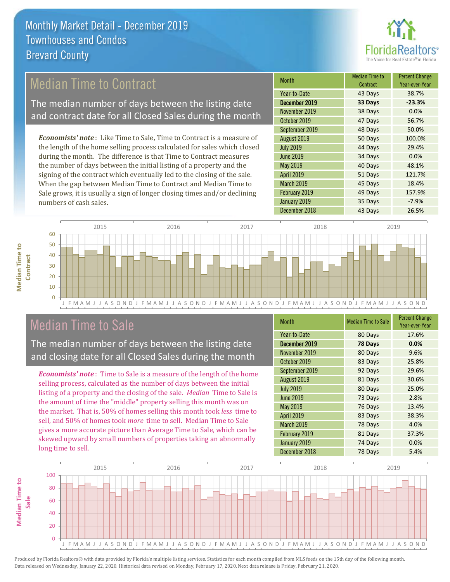

## Median Time to Contract

The median number of days between the listing date and contract date for all Closed Sales during the month

*Economists' note* : Like Time to Sale, Time to Contract is a measure of the length of the home selling process calculated for sales which closed during the month. The difference is that Time to Contract measures the number of days between the initial listing of a property and the signing of the contract which eventually led to the closing of the sale. When the gap between Median Time to Contract and Median Time to Sale grows, it is usually a sign of longer closing times and/or declining numbers of cash sales.

| <b>Month</b>      | <b>Median Time to</b><br>Contract | <b>Percent Change</b><br>Year-over-Year |
|-------------------|-----------------------------------|-----------------------------------------|
| Year-to-Date      | 43 Days                           | 38.7%                                   |
| December 2019     | 33 Days                           | $-23.3%$                                |
| November 2019     | 38 Days                           | 0.0%                                    |
| October 2019      | 47 Days                           | 56.7%                                   |
| September 2019    | 48 Days                           | 50.0%                                   |
| August 2019       | 50 Days                           | 100.0%                                  |
| <b>July 2019</b>  | 44 Days                           | 29.4%                                   |
| <b>June 2019</b>  | 34 Days                           | 0.0%                                    |
| May 2019          | 40 Days                           | 48.1%                                   |
| <b>April 2019</b> | 51 Days                           | 121.7%                                  |
| March 2019        | 45 Days                           | 18.4%                                   |
| February 2019     | 49 Days                           | 157.9%                                  |
| January 2019      | 35 Days                           | $-7.9%$                                 |
| December 2018     | 43 Days                           | 26.5%                                   |



## Median Time to Sale

**Median Time to** 

**Median Time to** 

The median number of days between the listing date and closing date for all Closed Sales during the month

*Economists' note* : Time to Sale is a measure of the length of the home selling process, calculated as the number of days between the initial listing of a property and the closing of the sale. *Median* Time to Sale is the amount of time the "middle" property selling this month was on the market. That is, 50% of homes selling this month took *less* time to sell, and 50% of homes took *more* time to sell. Median Time to Sale gives a more accurate picture than Average Time to Sale, which can be skewed upward by small numbers of properties taking an abnormally long time to sell.

| <b>Month</b>      | <b>Median Time to Sale</b> | <b>Percent Change</b><br>Year-over-Year |
|-------------------|----------------------------|-----------------------------------------|
| Year-to-Date      | 80 Days                    | 17.6%                                   |
| December 2019     | 78 Days                    | 0.0%                                    |
| November 2019     | 80 Days                    | 9.6%                                    |
| October 2019      | 83 Days                    | 25.8%                                   |
| September 2019    | 92 Days                    | 29.6%                                   |
| August 2019       | 81 Days                    | 30.6%                                   |
| <b>July 2019</b>  | 80 Days                    | 25.0%                                   |
| <b>June 2019</b>  | 73 Days                    | 2.8%                                    |
| May 2019          | 76 Days                    | 13.4%                                   |
| <b>April 2019</b> | 83 Days                    | 38.3%                                   |
| March 2019        | 78 Days                    | 4.0%                                    |
| February 2019     | 81 Days                    | 37.3%                                   |
| January 2019      | 74 Days                    | 0.0%                                    |
| December 2018     | 78 Days                    | 5.4%                                    |

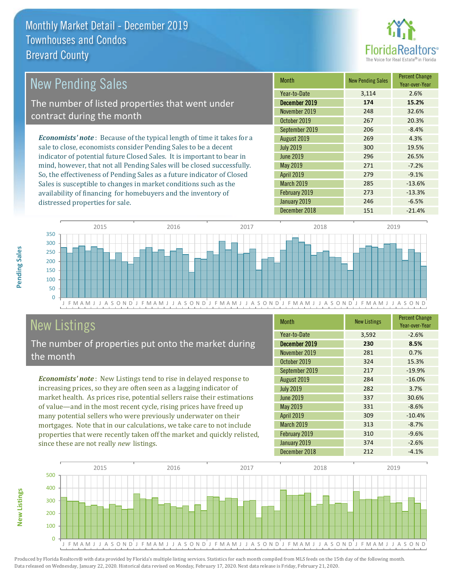

#### *Economists' note* : Because of the typical length of time it takes for a sale to close, economists consider Pending Sales to be a decent indicator of potential future Closed Sales. It is important to bear in mind, however, that not all Pending Sales will be closed successfully. Month New Pending Sales Percent Change Year-over-Year December 2019 **174 15.2%** Year-to-Date 3,114 2.6% May 2019 271 -7.2% November 2019 248 32.6% October 2019 267 20.3% July 2019 300 19.5% June 2019 296 26.5% September 2019 206 -8.4% August 2019 269 4.3% New Pending Sales The number of listed properties that went under contract during the month

So, the effectiveness of Pending Sales as a future indicator of Closed Sales is susceptible to changes in market conditions such as the availability of financing for homebuyers and the inventory of distressed properties for sale.

| Year-to-Date      | 3,114 | 2.6%     |
|-------------------|-------|----------|
| December 2019     | 174   | 15.2%    |
| November 2019     | 248   | 32.6%    |
| October 2019      | 267   | 20.3%    |
| September 2019    | 206   | $-8.4%$  |
| August 2019       | 269   | 4.3%     |
| <b>July 2019</b>  | 300   | 19.5%    |
| <b>June 2019</b>  | 296   | 26.5%    |
| May 2019          | 271   | $-7.2%$  |
| April 2019        | 279   | $-9.1%$  |
| <b>March 2019</b> | 285   | $-13.6%$ |
| February 2019     | 273   | $-13.3%$ |
| January 2019      | 246   | $-6.5%$  |
| December 2018     | 151   | $-21.4%$ |



# New Listings

The number of properties put onto the market during the month

*Economists' note* : New Listings tend to rise in delayed response to increasing prices, so they are often seen as a lagging indicator of market health. As prices rise, potential sellers raise their estimations of value—and in the most recent cycle, rising prices have freed up many potential sellers who were previously underwater on their mortgages. Note that in our calculations, we take care to not include properties that were recently taken off the market and quickly relisted, since these are not really *new* listings.

| <b>Month</b>     | <b>New Listings</b> | <b>Percent Change</b><br>Year-over-Year |
|------------------|---------------------|-----------------------------------------|
| Year-to-Date     | 3,592               | $-2.6%$                                 |
| December 2019    | 230                 | 8.5%                                    |
| November 2019    | 281                 | 0.7%                                    |
| October 2019     | 324                 | 15.3%                                   |
| September 2019   | 217                 | $-19.9%$                                |
| August 2019      | 284                 | $-16.0%$                                |
| <b>July 2019</b> | 282                 | 3.7%                                    |
| <b>June 2019</b> | 337                 | 30.6%                                   |
| <b>May 2019</b>  | 331                 | $-8.6%$                                 |
| April 2019       | 309                 | $-10.4%$                                |
| March 2019       | 313                 | $-8.7%$                                 |
| February 2019    | 310                 | $-9.6%$                                 |
| January 2019     | 374                 | $-2.6%$                                 |
| December 2018    | 212                 | $-4.1%$                                 |



**New Listings**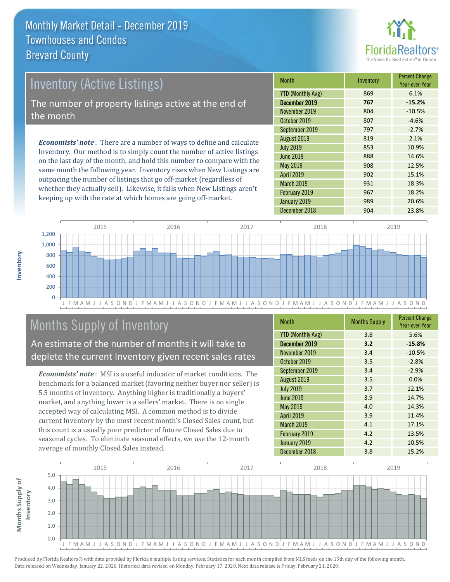

# Inventory (Active Listings) The number of property listings active at the end of the month

*Economists' note* : There are a number of ways to define and calculate Inventory. Our method is to simply count the number of active listings on the last day of the month, and hold this number to compare with the same month the following year. Inventory rises when New Listings are outpacing the number of listings that go off-market (regardless of whether they actually sell). Likewise, it falls when New Listings aren't keeping up with the rate at which homes are going off-market.

| Month                    | Inventory | <b>Percent Change</b><br>Year-over-Year |
|--------------------------|-----------|-----------------------------------------|
| <b>YTD (Monthly Avg)</b> | 869       | 6.1%                                    |
| December 2019            | 767       | $-15.2%$                                |
| November 2019            | 804       | $-10.5%$                                |
| October 2019             | 807       | $-4.6%$                                 |
| September 2019           | 797       | $-2.7%$                                 |
| August 2019              | 819       | 2.1%                                    |
| <b>July 2019</b>         | 853       | 10.9%                                   |
| <b>June 2019</b>         | 888       | 14.6%                                   |
| May 2019                 | 908       | 12.5%                                   |
| <b>April 2019</b>        | 902       | 15.1%                                   |
| March 2019               | 931       | 18.3%                                   |
| February 2019            | 967       | 18.2%                                   |
| January 2019             | 989       | 20.6%                                   |
| December 2018            | 904       | 23.8%                                   |



## Months Supply of Inventory

An estimate of the number of months it will take to deplete the current Inventory given recent sales rates

*Economists' note* : MSI is a useful indicator of market conditions. The benchmark for a balanced market (favoring neither buyer nor seller) is 5.5 months of inventory. Anything higher is traditionally a buyers' market, and anything lower is a sellers' market. There is no single accepted way of calculating MSI. A common method is to divide current Inventory by the most recent month's Closed Sales count, but this count is a usually poor predictor of future Closed Sales due to seasonal cycles. To eliminate seasonal effects, we use the 12-month average of monthly Closed Sales instead.

| <b>Month</b>             | <b>Months Supply</b> | <b>Percent Change</b><br>Year-over-Year |
|--------------------------|----------------------|-----------------------------------------|
| <b>YTD (Monthly Avg)</b> | 3.8                  | 5.6%                                    |
| December 2019            | 3.2                  | $-15.8%$                                |
| November 2019            | 3.4                  | $-10.5%$                                |
| October 2019             | 3.5                  | $-2.8%$                                 |
| September 2019           | 3.4                  | $-2.9%$                                 |
| August 2019              | 3.5                  | 0.0%                                    |
| <b>July 2019</b>         | 3.7                  | 12.1%                                   |
| <b>June 2019</b>         | 3.9                  | 14.7%                                   |
| May 2019                 | 4.0                  | 14.3%                                   |
| <b>April 2019</b>        | 3.9                  | 11.4%                                   |
| March 2019               | 4.1                  | 17.1%                                   |
| February 2019            | 4.2                  | 13.5%                                   |
| January 2019             | 4.2                  | 10.5%                                   |
| December 2018            | 3.8                  | 15.2%                                   |

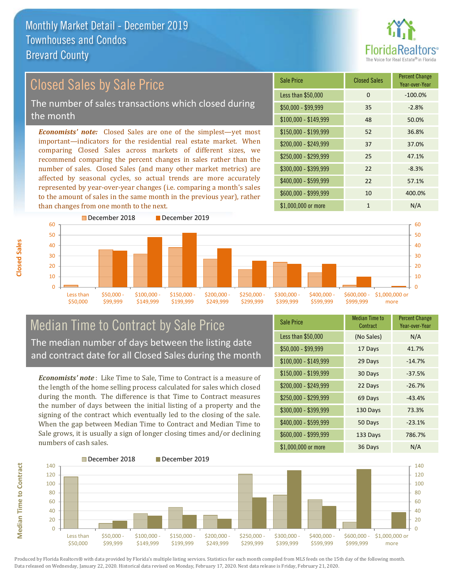than changes from one month to the next.



Year-over-Year

#### *Economists' note:* Closed Sales are one of the simplest—yet most important—indicators for the residential real estate market. When comparing Closed Sales across markets of different sizes, we recommend comparing the percent changes in sales rather than the number of sales. Closed Sales (and many other market metrics) are affected by seasonal cycles, so actual trends are more accurately represented by year-over-year changes (i.e. comparing a month's sales to the amount of sales in the same month in the previous year), rather \$100,000 - \$149,999 48 50.0% Sale Price Closed Sales Percent Change Less than \$50,000 0 0 -100.0%  $$50,000 - $99,999$  35 -2.8% Closed Sales by Sale Price The number of sales transactions which closed during the month

\$1,000,000 or more 1 N/A \$250,000 - \$299,999 25 47.1%  $$300,000 - $399,999$  22 -8.3% \$400,000 - \$599,999 22 57.1% \$600,000 - \$999,999 10 400.0% \$150,000 - \$199,999 52 36.8% \$200,000 - \$249,999 37 37.0%



## Median Time to Contract by Sale Price The median number of days between the listing date and contract date for all Closed Sales during the month

*Economists' note* : Like Time to Sale, Time to Contract is a measure of the length of the home selling process calculated for sales which closed during the month. The difference is that Time to Contract measures the number of days between the initial listing of a property and the signing of the contract which eventually led to the closing of the sale. When the gap between Median Time to Contract and Median Time to Sale grows, it is usually a sign of longer closing times and/or declining numbers of cash sales.

| <b>Sale Price</b>     | <b>Median Time to</b><br>Contract | <b>Percent Change</b><br>Year-over-Year |
|-----------------------|-----------------------------------|-----------------------------------------|
| Less than \$50,000    | (No Sales)                        | N/A                                     |
| $$50,000 - $99,999$   | 17 Days                           | 41.7%                                   |
| \$100,000 - \$149,999 | 29 Days                           | $-14.7%$                                |
| $$150,000 - $199,999$ | 30 Days                           | $-37.5%$                                |
| \$200,000 - \$249,999 | 22 Days                           | $-26.7%$                                |
| \$250,000 - \$299,999 | 69 Days                           | $-43.4%$                                |
| \$300,000 - \$399,999 | 130 Days                          | 73.3%                                   |
| \$400,000 - \$599,999 | 50 Days                           | $-23.1%$                                |
| \$600,000 - \$999,999 | 133 Days                          | 786.7%                                  |
| \$1,000,000 or more   | 36 Days                           | N/A                                     |

# **Median Time to Contract Median Time to Contract**

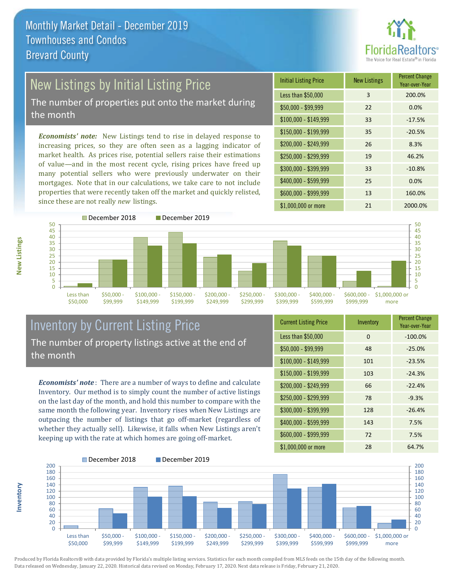

# New Listings by Initial Listing Price

The number of properties put onto the market during the month

*Economists' note:* New Listings tend to rise in delayed response to increasing prices, so they are often seen as a lagging indicator of market health. As prices rise, potential sellers raise their estimations of value—and in the most recent cycle, rising prices have freed up many potential sellers who were previously underwater on their mortgages. Note that in our calculations, we take care to not include properties that were recently taken off the market and quickly relisted, since these are not really *new* listings.





**Inventory**



## Inventory by Current Listing Price The number of property listings active at the end of the month

*Economists' note* : There are a number of ways to define and calculate Inventory. Our method is to simply count the number of active listings on the last day of the month, and hold this number to compare with the same month the following year. Inventory rises when New Listings are outpacing the number of listings that go off-market (regardless of whether they actually sell). Likewise, it falls when New Listings aren't keeping up with the rate at which homes are going off-market.

| <b>Current Listing Price</b> | Inventory | <b>Percent Change</b><br>Year-over-Year |
|------------------------------|-----------|-----------------------------------------|
| Less than \$50,000           | 0         | $-100.0%$                               |
| $$50,000 - $99,999$          | 48        | $-25.0%$                                |
| $$100,000 - $149,999$        | 101       | $-23.5%$                                |
| $$150,000 - $199,999$        | 103       | $-24.3%$                                |
| \$200,000 - \$249,999        | 66        | $-22.4%$                                |
| \$250,000 - \$299,999        | 78        | $-9.3%$                                 |
| \$300,000 - \$399,999        | 128       | $-26.4%$                                |
| \$400,000 - \$599,999        | 143       | 7.5%                                    |
| \$600,000 - \$999,999        | 72        | 7.5%                                    |
| \$1,000,000 or more          | 28        | 64.7%                                   |